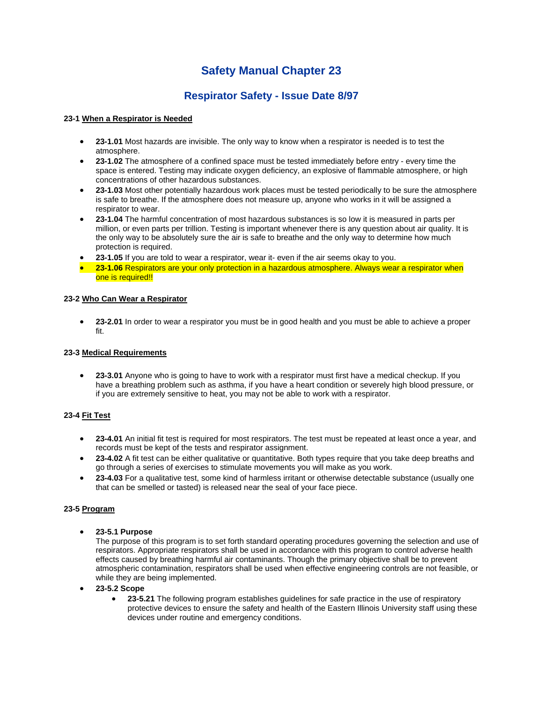# **Safety Manual Chapter 23**

## **Respirator Safety - Issue Date 8/97**

#### **23-1 When a Respirator is Needed**

- **23-1.01** Most hazards are invisible. The only way to know when a respirator is needed is to test the atmosphere.
- **23-1.02** The atmosphere of a confined space must be tested immediately before entry every time the space is entered. Testing may indicate oxygen deficiency, an explosive of flammable atmosphere, or high concentrations of other hazardous substances.
- **23-1.03** Most other potentially hazardous work places must be tested periodically to be sure the atmosphere is safe to breathe. If the atmosphere does not measure up, anyone who works in it will be assigned a respirator to wear.
- **23-1.04** The harmful concentration of most hazardous substances is so low it is measured in parts per million, or even parts per trillion. Testing is important whenever there is any question about air quality. It is the only way to be absolutely sure the air is safe to breathe and the only way to determine how much protection is required.
- **23-1.05** If you are told to wear a respirator, wear it- even if the air seems okay to you.
- **23-1.06** Respirators are your only protection in a hazardous atmosphere. Always wear a respirator when one is required!!

#### **23-2 Who Can Wear a Respirator**

 **23-2.01** In order to wear a respirator you must be in good health and you must be able to achieve a proper fit.

#### **23-3 Medical Requirements**

 **23-3.01** Anyone who is going to have to work with a respirator must first have a medical checkup. If you have a breathing problem such as asthma, if you have a heart condition or severely high blood pressure, or if you are extremely sensitive to heat, you may not be able to work with a respirator.

### **23-4 Fit Test**

- **23-4.01** An initial fit test is required for most respirators. The test must be repeated at least once a year, and records must be kept of the tests and respirator assignment.
- **23-4.02** A fit test can be either qualitative or quantitative. Both types require that you take deep breaths and go through a series of exercises to stimulate movements you will make as you work.
- **23-4.03** For a qualitative test, some kind of harmless irritant or otherwise detectable substance (usually one that can be smelled or tasted) is released near the seal of your face piece.

#### **23-5 Program**

**23-5.1 Purpose**

The purpose of this program is to set forth standard operating procedures governing the selection and use of respirators. Appropriate respirators shall be used in accordance with this program to control adverse health effects caused by breathing harmful air contaminants. Though the primary objective shall be to prevent atmospheric contamination, respirators shall be used when effective engineering controls are not feasible, or while they are being implemented.

- **23-5.2 Scope**
	- **23-5.21** The following program establishes guidelines for safe practice in the use of respiratory protective devices to ensure the safety and health of the Eastern Illinois University staff using these devices under routine and emergency conditions.